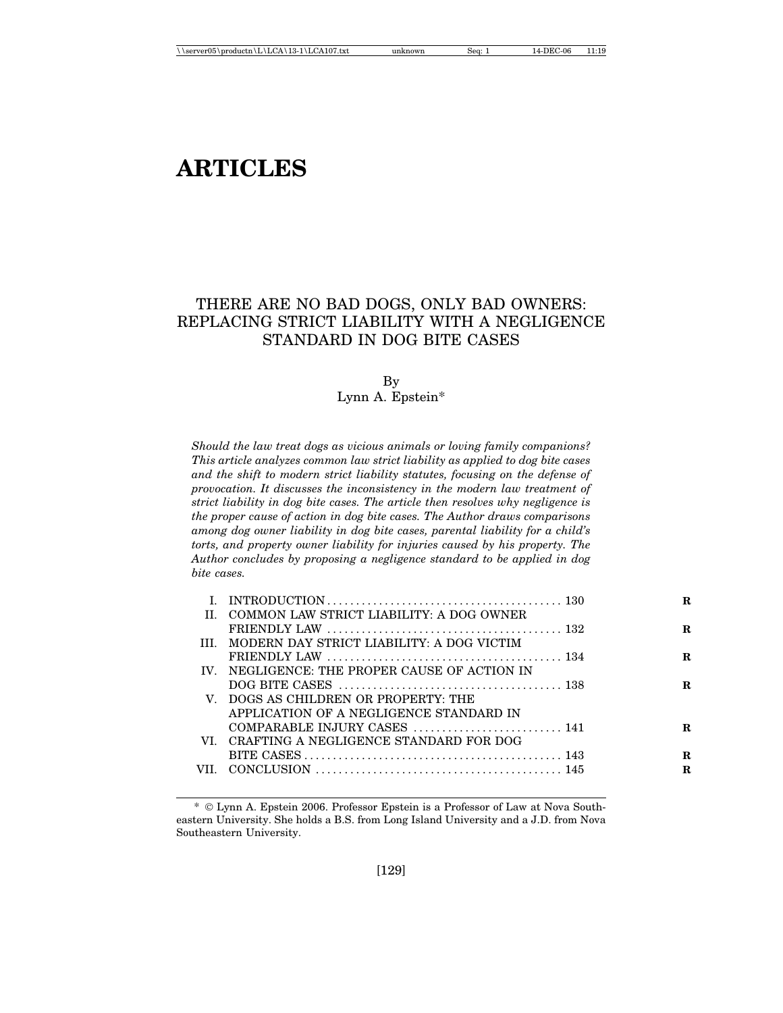# **ARTICLES**

# THERE ARE NO BAD DOGS, ONLY BAD OWNERS: REPLACING STRICT LIABILITY WITH A NEGLIGENCE STANDARD IN DOG BITE CASES

#### By Lynn A. Epstein\*

*Should the law treat dogs as vicious animals or loving family companions? This article analyzes common law strict liability as applied to dog bite cases and the shift to modern strict liability statutes, focusing on the defense of provocation. It discusses the inconsistency in the modern law treatment of strict liability in dog bite cases. The article then resolves why negligence is the proper cause of action in dog bite cases. The Author draws comparisons among dog owner liability in dog bite cases, parental liability for a child's torts, and property owner liability for injuries caused by his property. The Author concludes by proposing a negligence standard to be applied in dog bite cases.*

|                                                | R |
|------------------------------------------------|---|
| II. COMMON LAW STRICT LIABILITY: A DOG OWNER   |   |
|                                                | R |
| III. MODERN DAY STRICT LIABILITY: A DOG VICTIM |   |
|                                                | R |
| IV. NEGLIGENCE: THE PROPER CAUSE OF ACTION IN  |   |
|                                                | R |
| V. DOGS AS CHILDREN OR PROPERTY: THE           |   |
| APPLICATION OF A NEGLIGENCE STANDARD IN        |   |
| COMPARABLE INJURY CASES  141                   | R |
| VI. CRAFTING A NEGLIGENCE STANDARD FOR DOG     |   |
|                                                | R |
|                                                | R |
|                                                |   |

<sup>\*</sup> Lynn A. Epstein 2006. Professor Epstein is a Professor of Law at Nova Southeastern University. She holds a B.S. from Long Island University and a J.D. from Nova Southeastern University.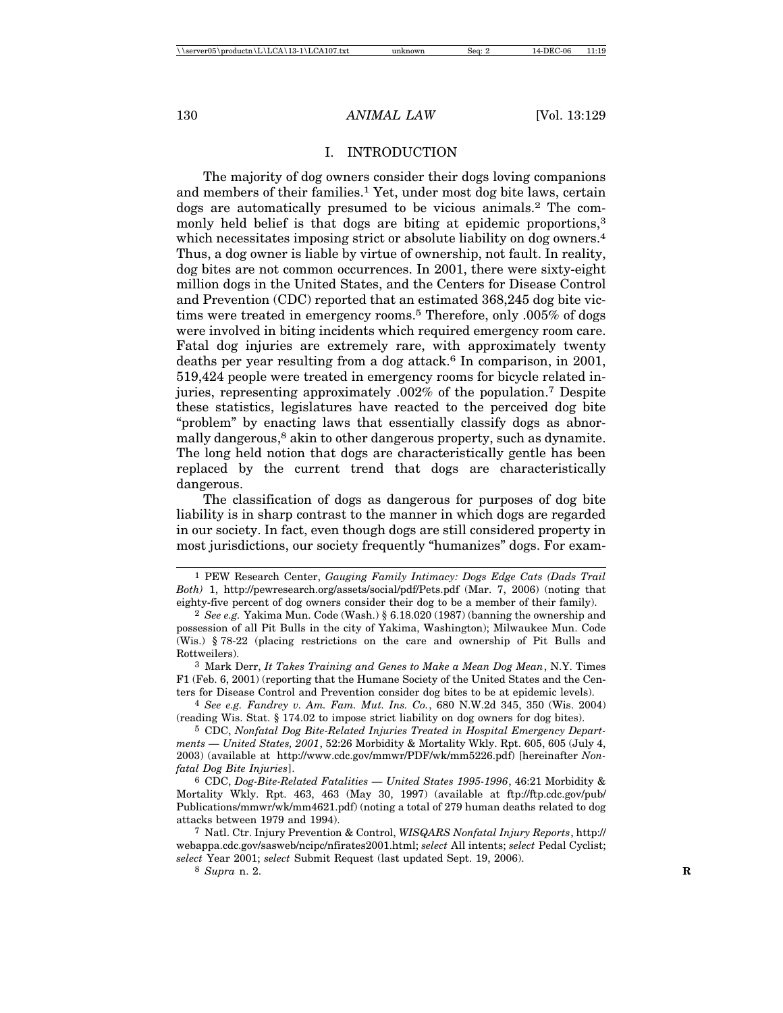#### I. INTRODUCTION

The majority of dog owners consider their dogs loving companions and members of their families.1 Yet, under most dog bite laws, certain dogs are automatically presumed to be vicious animals.2 The commonly held belief is that dogs are biting at epidemic proportions,<sup>3</sup> which necessitates imposing strict or absolute liability on dog owners.<sup>4</sup> Thus, a dog owner is liable by virtue of ownership, not fault. In reality, dog bites are not common occurrences. In 2001, there were sixty-eight million dogs in the United States, and the Centers for Disease Control and Prevention (CDC) reported that an estimated 368,245 dog bite victims were treated in emergency rooms.5 Therefore, only .005% of dogs were involved in biting incidents which required emergency room care. Fatal dog injuries are extremely rare, with approximately twenty deaths per year resulting from a dog attack.<sup>6</sup> In comparison, in 2001, 519,424 people were treated in emergency rooms for bicycle related injuries, representing approximately .002% of the population.7 Despite these statistics, legislatures have reacted to the perceived dog bite "problem" by enacting laws that essentially classify dogs as abnormally dangerous,<sup>8</sup> akin to other dangerous property, such as dynamite. The long held notion that dogs are characteristically gentle has been replaced by the current trend that dogs are characteristically dangerous.

The classification of dogs as dangerous for purposes of dog bite liability is in sharp contrast to the manner in which dogs are regarded in our society. In fact, even though dogs are still considered property in most jurisdictions, our society frequently "humanizes" dogs. For exam-

4 *See e.g. Fandrey v. Am. Fam. Mut. Ins. Co.*, 680 N.W.2d 345, 350 (Wis. 2004) (reading Wis. Stat. § 174.02 to impose strict liability on dog owners for dog bites).

5 CDC, *Nonfatal Dog Bite-Related Injuries Treated in Hospital Emergency Departments — United States, 2001*, 52:26 Morbidity & Mortality Wkly. Rpt. 605, 605 (July 4, 2003) (available at http://www.cdc.gov/mmwr/PDF/wk/mm5226.pdf) [hereinafter *Nonfatal Dog Bite Injuries*].

6 CDC, *Dog-Bite-Related Fatalities — United States 1995-1996*, 46:21 Morbidity & Mortality Wkly. Rpt. 463, 463 (May 30, 1997) (available at ftp://ftp.cdc.gov/pub/ Publications/mmwr/wk/mm4621.pdf) (noting a total of 279 human deaths related to dog attacks between 1979 and 1994).

<sup>1</sup> PEW Research Center, *Gauging Family Intimacy: Dogs Edge Cats (Dads Trail Both)* 1, http://pewresearch.org/assets/social/pdf/Pets.pdf (Mar. 7, 2006) (noting that eighty-five percent of dog owners consider their dog to be a member of their family).

<sup>2</sup> *See e.g.* Yakima Mun. Code (Wash.) § 6.18.020 (1987) (banning the ownership and possession of all Pit Bulls in the city of Yakima, Washington); Milwaukee Mun. Code (Wis.) § 78-22 (placing restrictions on the care and ownership of Pit Bulls and Rottweilers).

<sup>3</sup> Mark Derr, *It Takes Training and Genes to Make a Mean Dog Mean*, N.Y. Times F1 (Feb. 6, 2001) (reporting that the Humane Society of the United States and the Centers for Disease Control and Prevention consider dog bites to be at epidemic levels).

<sup>7</sup> Natl. Ctr. Injury Prevention & Control, *WISQARS Nonfatal Injury Reports*, http:// webappa.cdc.gov/sasweb/ncipc/nfirates2001.html; *select* All intents; *select* Pedal Cyclist; *select* Year 2001; *select* Submit Request (last updated Sept. 19, 2006).

<sup>8</sup> *Supra* n. 2. **R**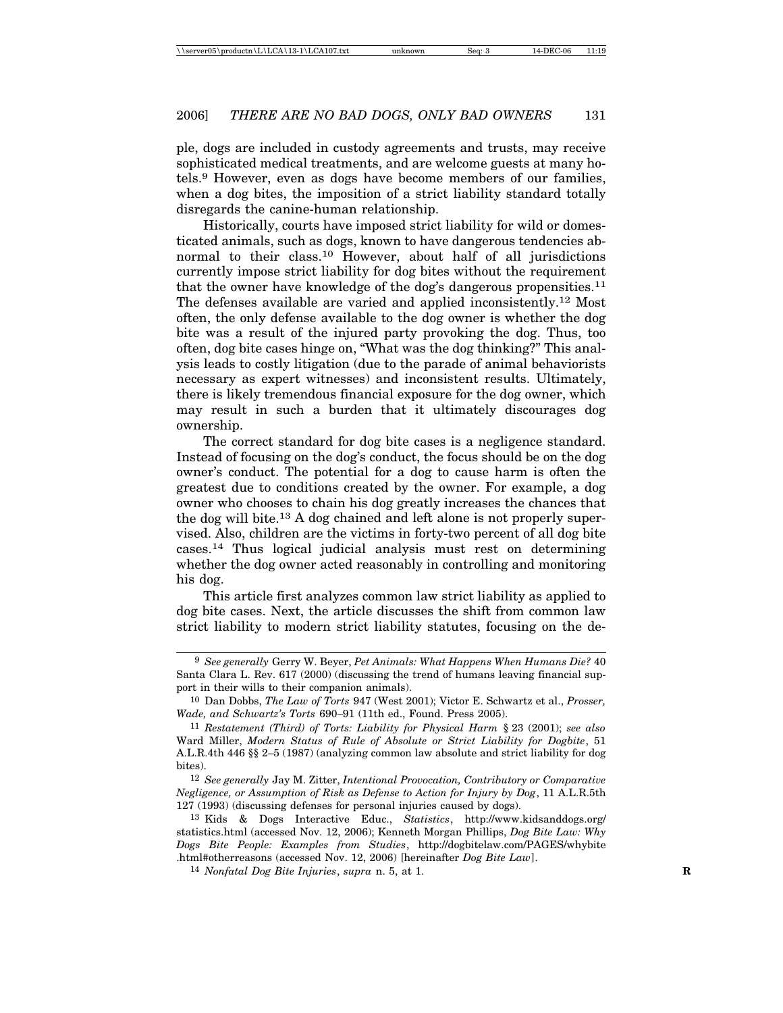ple, dogs are included in custody agreements and trusts, may receive sophisticated medical treatments, and are welcome guests at many hotels.9 However, even as dogs have become members of our families, when a dog bites, the imposition of a strict liability standard totally disregards the canine-human relationship.

Historically, courts have imposed strict liability for wild or domesticated animals, such as dogs, known to have dangerous tendencies abnormal to their class.10 However, about half of all jurisdictions currently impose strict liability for dog bites without the requirement that the owner have knowledge of the dog's dangerous propensities.<sup>11</sup> The defenses available are varied and applied inconsistently.12 Most often, the only defense available to the dog owner is whether the dog bite was a result of the injured party provoking the dog. Thus, too often, dog bite cases hinge on, "What was the dog thinking?" This analysis leads to costly litigation (due to the parade of animal behaviorists necessary as expert witnesses) and inconsistent results. Ultimately, there is likely tremendous financial exposure for the dog owner, which may result in such a burden that it ultimately discourages dog ownership.

The correct standard for dog bite cases is a negligence standard. Instead of focusing on the dog's conduct, the focus should be on the dog owner's conduct. The potential for a dog to cause harm is often the greatest due to conditions created by the owner. For example, a dog owner who chooses to chain his dog greatly increases the chances that the dog will bite.13 A dog chained and left alone is not properly supervised. Also, children are the victims in forty-two percent of all dog bite cases.14 Thus logical judicial analysis must rest on determining whether the dog owner acted reasonably in controlling and monitoring his dog.

This article first analyzes common law strict liability as applied to dog bite cases. Next, the article discusses the shift from common law strict liability to modern strict liability statutes, focusing on the de-

<sup>9</sup> *See generally* Gerry W. Beyer, *Pet Animals: What Happens When Humans Die?* 40 Santa Clara L. Rev. 617 (2000) (discussing the trend of humans leaving financial support in their wills to their companion animals).

<sup>10</sup> Dan Dobbs, *The Law of Torts* 947 (West 2001); Victor E. Schwartz et al., *Prosser, Wade, and Schwartz's Torts* 690–91 (11th ed., Found. Press 2005).

<sup>11</sup> *Restatement (Third) of Torts: Liability for Physical Harm* § 23 (2001); *see also* Ward Miller, *Modern Status of Rule of Absolute or Strict Liability for Dogbite*, 51 A.L.R.4th 446 §§ 2–5 (1987) (analyzing common law absolute and strict liability for dog bites).

<sup>12</sup> *See generally* Jay M. Zitter, *Intentional Provocation, Contributory or Comparative Negligence, or Assumption of Risk as Defense to Action for Injury by Dog*, 11 A.L.R.5th 127 (1993) (discussing defenses for personal injuries caused by dogs).

<sup>13</sup> Kids & Dogs Interactive Educ., *Statistics*, http://www.kidsanddogs.org/ statistics.html (accessed Nov. 12, 2006); Kenneth Morgan Phillips, *Dog Bite Law: Why Dogs Bite People: Examples from Studies*, http://dogbitelaw.com/PAGES/whybite .html#otherreasons (accessed Nov. 12, 2006) [hereinafter *Dog Bite Law*].

<sup>14</sup> *Nonfatal Dog Bite Injuries*, *supra* n. 5, at 1. **R**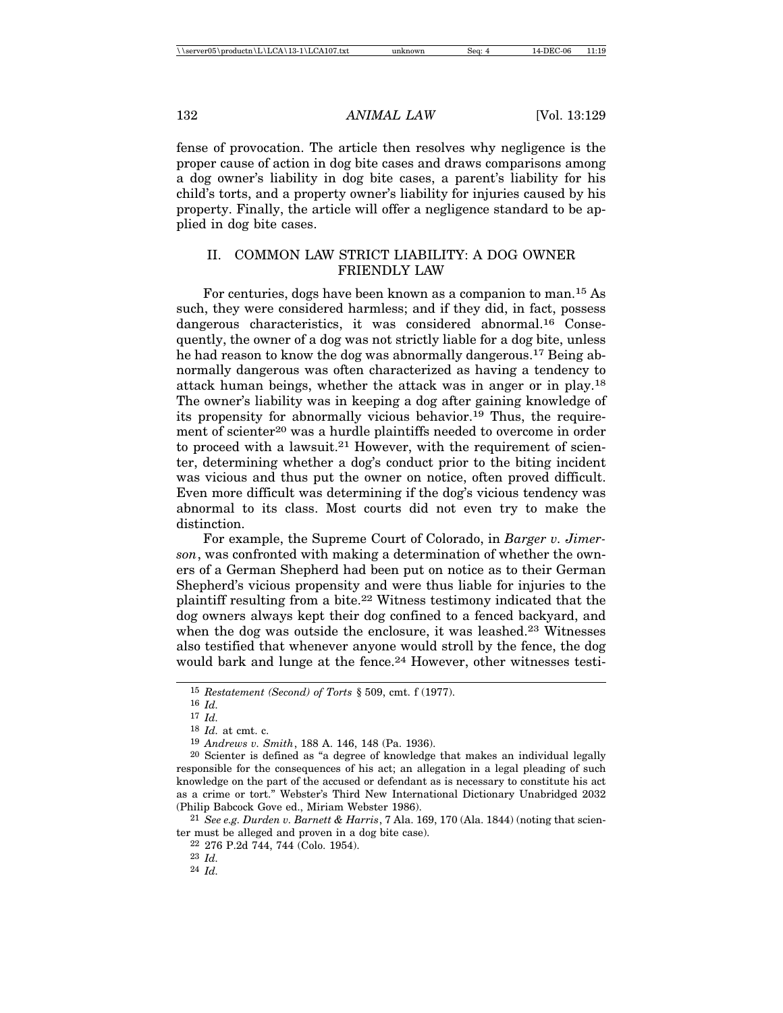fense of provocation. The article then resolves why negligence is the proper cause of action in dog bite cases and draws comparisons among a dog owner's liability in dog bite cases, a parent's liability for his child's torts, and a property owner's liability for injuries caused by his property. Finally, the article will offer a negligence standard to be applied in dog bite cases.

# II. COMMON LAW STRICT LIABILITY: A DOG OWNER FRIENDLY LAW

For centuries, dogs have been known as a companion to man.15 As such, they were considered harmless; and if they did, in fact, possess dangerous characteristics, it was considered abnormal.<sup>16</sup> Consequently, the owner of a dog was not strictly liable for a dog bite, unless he had reason to know the dog was abnormally dangerous.17 Being abnormally dangerous was often characterized as having a tendency to attack human beings, whether the attack was in anger or in play.18 The owner's liability was in keeping a dog after gaining knowledge of its propensity for abnormally vicious behavior.19 Thus, the requirement of scienter<sup>20</sup> was a hurdle plaintiffs needed to overcome in order to proceed with a lawsuit.<sup>21</sup> However, with the requirement of scienter, determining whether a dog's conduct prior to the biting incident was vicious and thus put the owner on notice, often proved difficult. Even more difficult was determining if the dog's vicious tendency was abnormal to its class. Most courts did not even try to make the distinction.

For example, the Supreme Court of Colorado, in *Barger v. Jimerson*, was confronted with making a determination of whether the owners of a German Shepherd had been put on notice as to their German Shepherd's vicious propensity and were thus liable for injuries to the plaintiff resulting from a bite.22 Witness testimony indicated that the dog owners always kept their dog confined to a fenced backyard, and when the dog was outside the enclosure, it was leashed.<sup>23</sup> Witnesses also testified that whenever anyone would stroll by the fence, the dog would bark and lunge at the fence.<sup>24</sup> However, other witnesses testi-

21 *See e.g. Durden v. Barnett & Harris*, 7 Ala. 169, 170 (Ala. 1844) (noting that scienter must be alleged and proven in a dog bite case).

22 276 P.2d 744, 744 (Colo. 1954).

<sup>15</sup> *Restatement (Second) of Torts* § 509, cmt. f (1977).

<sup>16</sup> *Id.*

<sup>17</sup> *Id.*

<sup>18</sup> *Id.* at cmt. c.

<sup>19</sup> *Andrews v. Smith*, 188 A. 146, 148 (Pa. 1936).

<sup>20</sup> Scienter is defined as "a degree of knowledge that makes an individual legally responsible for the consequences of his act; an allegation in a legal pleading of such knowledge on the part of the accused or defendant as is necessary to constitute his act as a crime or tort." Webster's Third New International Dictionary Unabridged 2032 (Philip Babcock Gove ed., Miriam Webster 1986).

<sup>23</sup> *Id.*

<sup>24</sup> *Id.*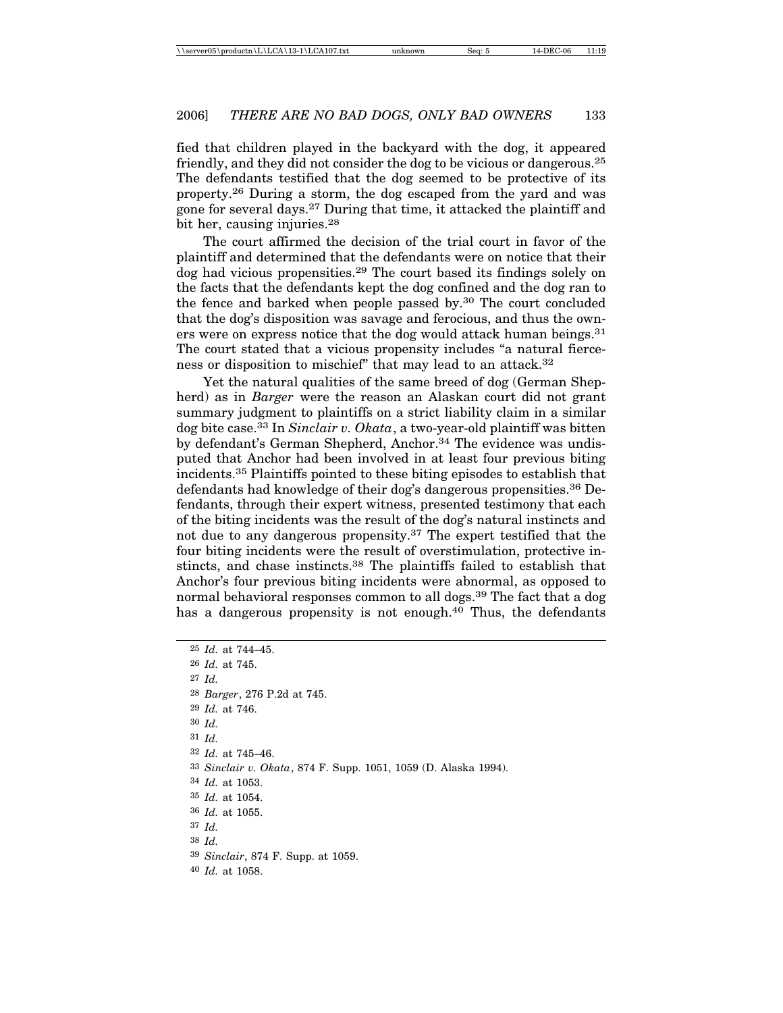fied that children played in the backyard with the dog, it appeared friendly, and they did not consider the dog to be vicious or dangerous.25 The defendants testified that the dog seemed to be protective of its property.26 During a storm, the dog escaped from the yard and was gone for several days.27 During that time, it attacked the plaintiff and bit her, causing injuries.<sup>28</sup>

The court affirmed the decision of the trial court in favor of the plaintiff and determined that the defendants were on notice that their dog had vicious propensities.29 The court based its findings solely on the facts that the defendants kept the dog confined and the dog ran to the fence and barked when people passed by.30 The court concluded that the dog's disposition was savage and ferocious, and thus the owners were on express notice that the dog would attack human beings.<sup>31</sup> The court stated that a vicious propensity includes "a natural fierceness or disposition to mischief" that may lead to an attack.32

Yet the natural qualities of the same breed of dog (German Shepherd) as in *Barger* were the reason an Alaskan court did not grant summary judgment to plaintiffs on a strict liability claim in a similar dog bite case.33 In *Sinclair v. Okata*, a two-year-old plaintiff was bitten by defendant's German Shepherd, Anchor.<sup>34</sup> The evidence was undisputed that Anchor had been involved in at least four previous biting incidents.35 Plaintiffs pointed to these biting episodes to establish that defendants had knowledge of their dog's dangerous propensities.36 Defendants, through their expert witness, presented testimony that each of the biting incidents was the result of the dog's natural instincts and not due to any dangerous propensity.37 The expert testified that the four biting incidents were the result of overstimulation, protective instincts, and chase instincts.38 The plaintiffs failed to establish that Anchor's four previous biting incidents were abnormal, as opposed to normal behavioral responses common to all dogs.<sup>39</sup> The fact that a dog has a dangerous propensity is not enough.<sup>40</sup> Thus, the defendants

 *Id.* at 744–45. *Id.* at 745. 27 *Id. Barger*, 276 P.2d at 745. *Id.* at 746. 30 *Id.* 31 *Id. Id.* at 745–46. *Sinclair v. Okata*, 874 F. Supp. 1051, 1059 (D. Alaska 1994). *Id.* at 1053. *Id.* at 1054. *Id.* at 1055. 37 *Id.* 38 *Id. Sinclair*, 874 F. Supp. at 1059. *Id.* at 1058.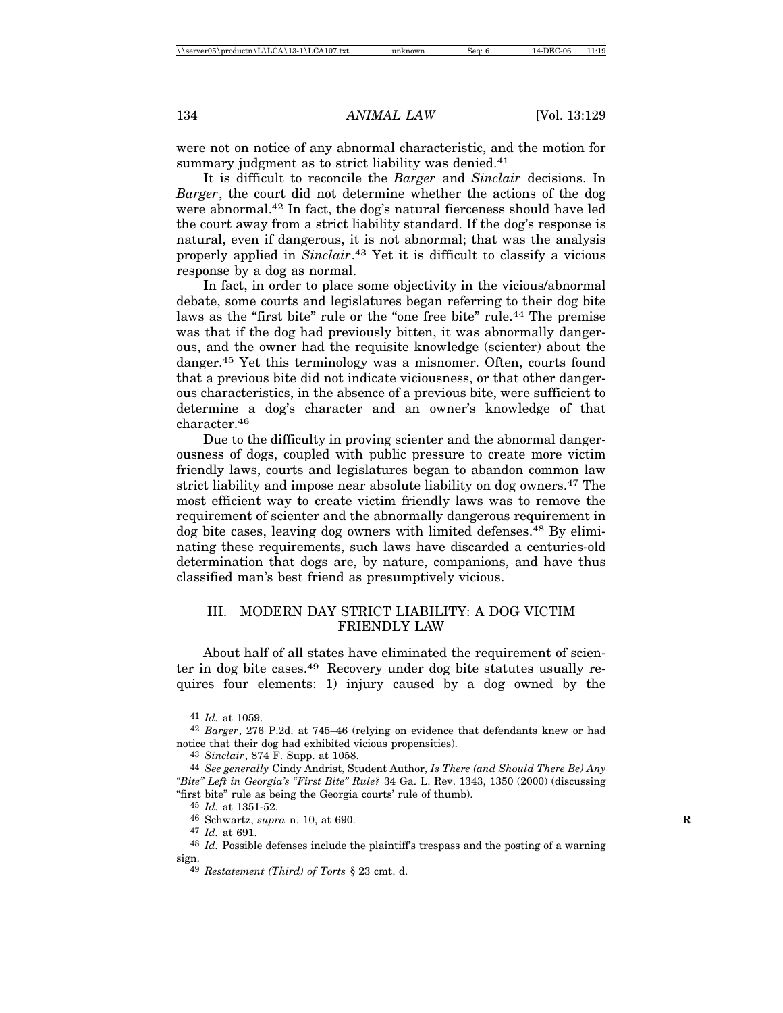were not on notice of any abnormal characteristic, and the motion for summary judgment as to strict liability was denied.<sup>41</sup>

It is difficult to reconcile the *Barger* and *Sinclair* decisions. In *Barger*, the court did not determine whether the actions of the dog were abnormal.42 In fact, the dog's natural fierceness should have led the court away from a strict liability standard. If the dog's response is natural, even if dangerous, it is not abnormal; that was the analysis properly applied in *Sinclair*. 43 Yet it is difficult to classify a vicious response by a dog as normal.

In fact, in order to place some objectivity in the vicious/abnormal debate, some courts and legislatures began referring to their dog bite laws as the "first bite" rule or the "one free bite" rule.<sup>44</sup> The premise was that if the dog had previously bitten, it was abnormally dangerous, and the owner had the requisite knowledge (scienter) about the danger.45 Yet this terminology was a misnomer. Often, courts found that a previous bite did not indicate viciousness, or that other dangerous characteristics, in the absence of a previous bite, were sufficient to determine a dog's character and an owner's knowledge of that character.46

Due to the difficulty in proving scienter and the abnormal dangerousness of dogs, coupled with public pressure to create more victim friendly laws, courts and legislatures began to abandon common law strict liability and impose near absolute liability on dog owners.47 The most efficient way to create victim friendly laws was to remove the requirement of scienter and the abnormally dangerous requirement in dog bite cases, leaving dog owners with limited defenses.48 By eliminating these requirements, such laws have discarded a centuries-old determination that dogs are, by nature, companions, and have thus classified man's best friend as presumptively vicious.

# III. MODERN DAY STRICT LIABILITY: A DOG VICTIM FRIENDLY LAW

About half of all states have eliminated the requirement of scienter in dog bite cases.49 Recovery under dog bite statutes usually requires four elements: 1) injury caused by a dog owned by the

<sup>41</sup> *Id.* at 1059.

<sup>42</sup> *Barger*, 276 P.2d. at 745–46 (relying on evidence that defendants knew or had notice that their dog had exhibited vicious propensities).

<sup>43</sup> *Sinclair*, 874 F. Supp. at 1058.

<sup>44</sup> *See generally* Cindy Andrist, Student Author, *Is There (and Should There Be) Any "Bite" Left in Georgia's "First Bite" Rule?* 34 Ga. L. Rev. 1343, 1350 (2000) (discussing "first bite" rule as being the Georgia courts' rule of thumb).

<sup>45</sup> *Id.* at 1351-52.

<sup>46</sup> Schwartz, *supra* n. 10, at 690. **R**

<sup>47</sup> *Id.* at 691.

<sup>48</sup> *Id.* Possible defenses include the plaintiff's trespass and the posting of a warning sign.

<sup>49</sup> *Restatement (Third) of Torts* § 23 cmt. d.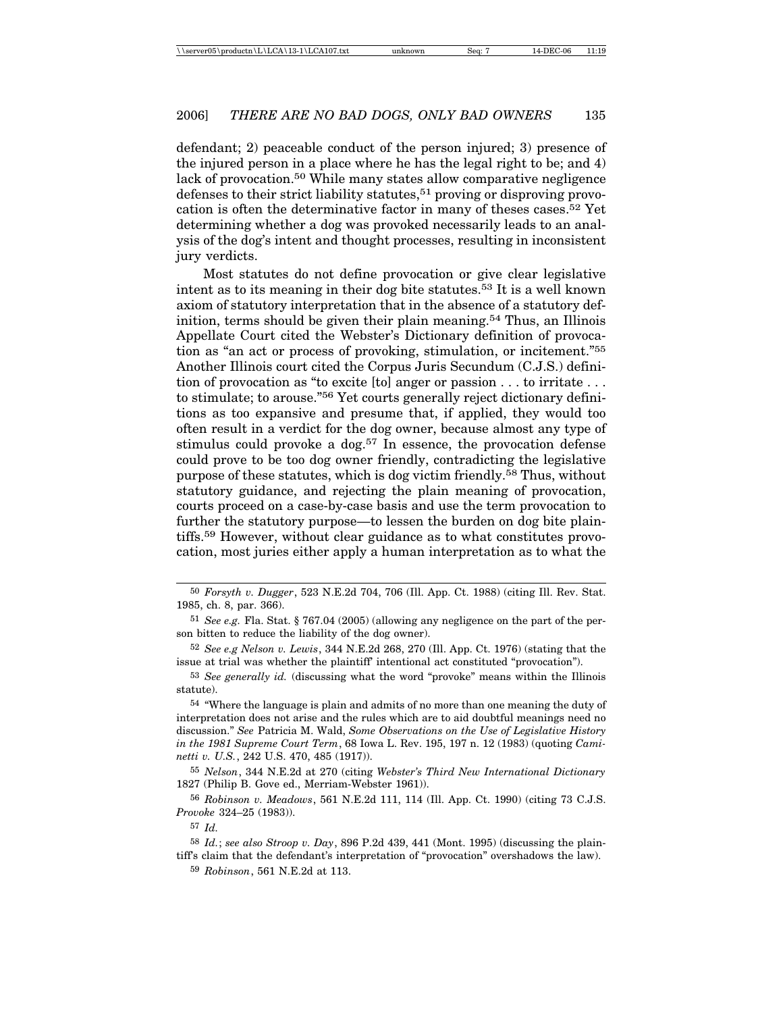defendant; 2) peaceable conduct of the person injured; 3) presence of the injured person in a place where he has the legal right to be; and 4) lack of provocation.50 While many states allow comparative negligence defenses to their strict liability statutes,<sup>51</sup> proving or disproving provocation is often the determinative factor in many of theses cases.52 Yet determining whether a dog was provoked necessarily leads to an analysis of the dog's intent and thought processes, resulting in inconsistent jury verdicts.

Most statutes do not define provocation or give clear legislative intent as to its meaning in their dog bite statutes.53 It is a well known axiom of statutory interpretation that in the absence of a statutory definition, terms should be given their plain meaning.<sup>54</sup> Thus, an Illinois Appellate Court cited the Webster's Dictionary definition of provocation as "an act or process of provoking, stimulation, or incitement."55 Another Illinois court cited the Corpus Juris Secundum (C.J.S.) definition of provocation as "to excite [to] anger or passion . . . to irritate . . . to stimulate; to arouse."56 Yet courts generally reject dictionary definitions as too expansive and presume that, if applied, they would too often result in a verdict for the dog owner, because almost any type of stimulus could provoke a dog.57 In essence, the provocation defense could prove to be too dog owner friendly, contradicting the legislative purpose of these statutes, which is dog victim friendly.58 Thus, without statutory guidance, and rejecting the plain meaning of provocation, courts proceed on a case-by-case basis and use the term provocation to further the statutory purpose—to lessen the burden on dog bite plaintiffs.59 However, without clear guidance as to what constitutes provocation, most juries either apply a human interpretation as to what the

52 *See e.g Nelson v. Lewis*, 344 N.E.2d 268, 270 (Ill. App. Ct. 1976) (stating that the issue at trial was whether the plaintiff' intentional act constituted "provocation").

53 *See generally id.* (discussing what the word "provoke" means within the Illinois statute).

54 "Where the language is plain and admits of no more than one meaning the duty of interpretation does not arise and the rules which are to aid doubtful meanings need no discussion." *See* Patricia M. Wald, *Some Observations on the Use of Legislative History in the 1981 Supreme Court Term*, 68 Iowa L. Rev. 195, 197 n. 12 (1983) (quoting *Caminetti v. U.S.*, 242 U.S. 470, 485 (1917)).

55 *Nelson*, 344 N.E.2d at 270 (citing *Webster's Third New International Dictionary* 1827 (Philip B. Gove ed., Merriam-Webster 1961)).

56 *Robinson v. Meadows*, 561 N.E.2d 111, 114 (Ill. App. Ct. 1990) (citing 73 C.J.S. *Provoke* 324–25 (1983)).

57 *Id.*

58 *Id.*; *see also Stroop v. Day*, 896 P.2d 439, 441 (Mont. 1995) (discussing the plaintiff's claim that the defendant's interpretation of "provocation" overshadows the law).

59 *Robinson*, 561 N.E.2d at 113.

<sup>50</sup> *Forsyth v. Dugger*, 523 N.E.2d 704, 706 (Ill. App. Ct. 1988) (citing Ill. Rev. Stat. 1985, ch. 8, par. 366).

<sup>51</sup> *See e.g.* Fla. Stat. § 767.04 (2005) (allowing any negligence on the part of the person bitten to reduce the liability of the dog owner).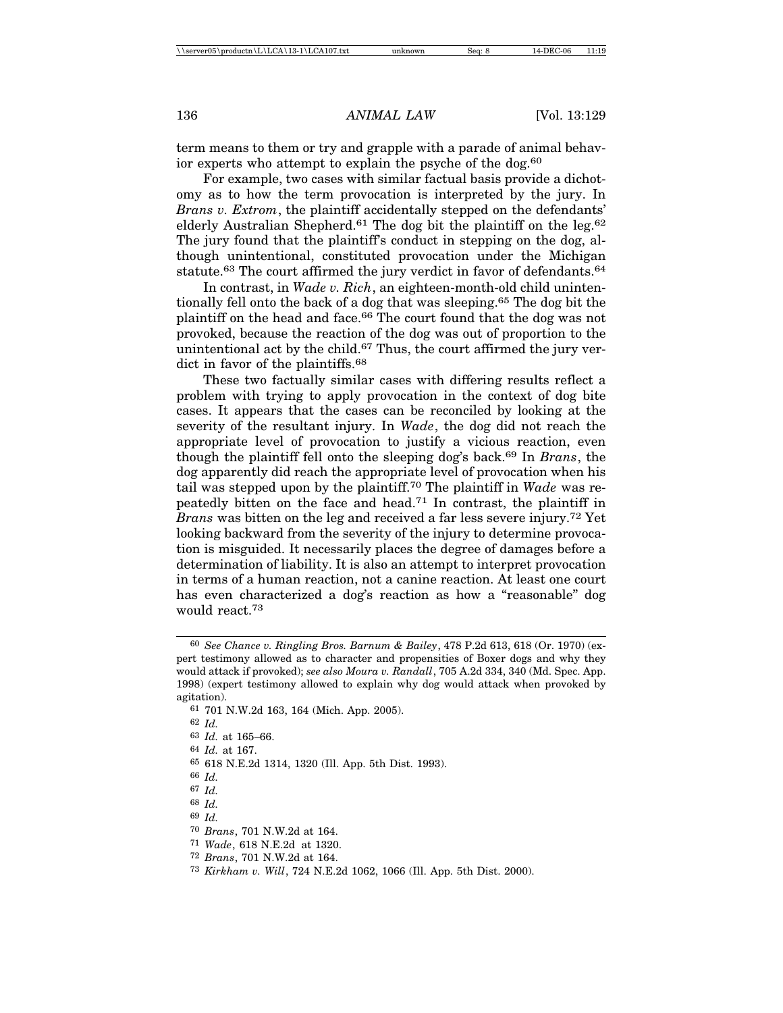term means to them or try and grapple with a parade of animal behavior experts who attempt to explain the psyche of the dog.<sup>60</sup>

For example, two cases with similar factual basis provide a dichotomy as to how the term provocation is interpreted by the jury. In *Brans v. Extrom*, the plaintiff accidentally stepped on the defendants' elderly Australian Shepherd.61 The dog bit the plaintiff on the leg.62 The jury found that the plaintiff's conduct in stepping on the dog, although unintentional, constituted provocation under the Michigan statute.<sup>63</sup> The court affirmed the jury verdict in favor of defendants.<sup>64</sup>

In contrast, in *Wade v. Rich*, an eighteen-month-old child unintentionally fell onto the back of a dog that was sleeping.65 The dog bit the plaintiff on the head and face.66 The court found that the dog was not provoked, because the reaction of the dog was out of proportion to the unintentional act by the child.<sup>67</sup> Thus, the court affirmed the jury verdict in favor of the plaintiffs.<sup>68</sup>

These two factually similar cases with differing results reflect a problem with trying to apply provocation in the context of dog bite cases. It appears that the cases can be reconciled by looking at the severity of the resultant injury. In *Wade*, the dog did not reach the appropriate level of provocation to justify a vicious reaction, even though the plaintiff fell onto the sleeping dog's back.69 In *Brans*, the dog apparently did reach the appropriate level of provocation when his tail was stepped upon by the plaintiff.70 The plaintiff in *Wade* was repeatedly bitten on the face and head.<sup>71</sup> In contrast, the plaintiff in *Brans* was bitten on the leg and received a far less severe injury.72 Yet looking backward from the severity of the injury to determine provocation is misguided. It necessarily places the degree of damages before a determination of liability. It is also an attempt to interpret provocation in terms of a human reaction, not a canine reaction. At least one court has even characterized a dog's reaction as how a "reasonable" dog would react.73

<sup>60</sup> *See Chance v. Ringling Bros. Barnum & Bailey*, 478 P.2d 613, 618 (Or. 1970) (expert testimony allowed as to character and propensities of Boxer dogs and why they would attack if provoked); *see also Moura v. Randall*, 705 A.2d 334, 340 (Md. Spec. App. 1998) (expert testimony allowed to explain why dog would attack when provoked by agitation).

<sup>61</sup> 701 N.W.2d 163, 164 (Mich. App. 2005).

<sup>62</sup> *Id.*

<sup>63</sup> *Id.* at 165–66.

<sup>64</sup> *Id.* at 167.

<sup>65</sup> 618 N.E.2d 1314, 1320 (Ill. App. 5th Dist. 1993).

<sup>66</sup> *Id.*

<sup>67</sup> *Id.*

<sup>68</sup> *Id.*

<sup>69</sup> *Id.*

<sup>70</sup> *Brans*, 701 N.W.2d at 164.

<sup>71</sup> *Wade*, 618 N.E.2d at 1320.

<sup>72</sup> *Brans*, 701 N.W.2d at 164.

<sup>73</sup> *Kirkham v. Will*, 724 N.E.2d 1062, 1066 (Ill. App. 5th Dist. 2000).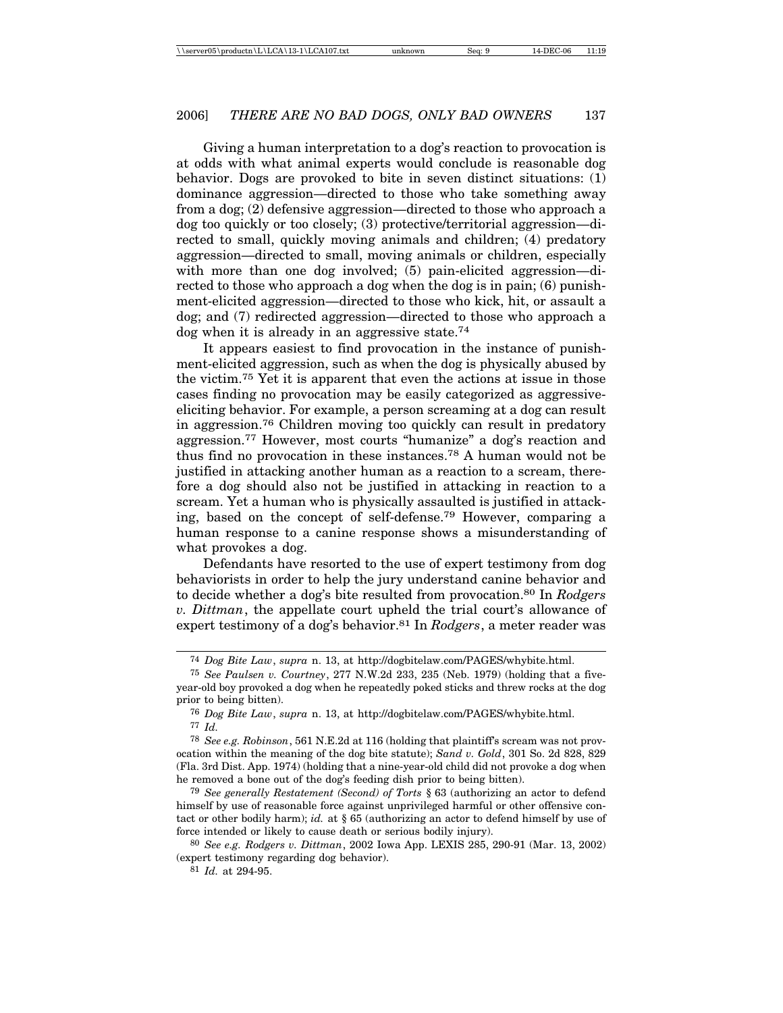Giving a human interpretation to a dog's reaction to provocation is at odds with what animal experts would conclude is reasonable dog behavior. Dogs are provoked to bite in seven distinct situations: (1) dominance aggression—directed to those who take something away from a dog; (2) defensive aggression—directed to those who approach a dog too quickly or too closely; (3) protective/territorial aggression—directed to small, quickly moving animals and children; (4) predatory aggression—directed to small, moving animals or children, especially with more than one dog involved; (5) pain-elicited aggression—directed to those who approach a dog when the dog is in pain; (6) punishment-elicited aggression—directed to those who kick, hit, or assault a dog; and (7) redirected aggression—directed to those who approach a dog when it is already in an aggressive state.74

It appears easiest to find provocation in the instance of punishment-elicited aggression, such as when the dog is physically abused by the victim.75 Yet it is apparent that even the actions at issue in those cases finding no provocation may be easily categorized as aggressiveeliciting behavior. For example, a person screaming at a dog can result in aggression.76 Children moving too quickly can result in predatory aggression.77 However, most courts "humanize" a dog's reaction and thus find no provocation in these instances.78 A human would not be justified in attacking another human as a reaction to a scream, therefore a dog should also not be justified in attacking in reaction to a scream. Yet a human who is physically assaulted is justified in attacking, based on the concept of self-defense.79 However, comparing a human response to a canine response shows a misunderstanding of what provokes a dog.

Defendants have resorted to the use of expert testimony from dog behaviorists in order to help the jury understand canine behavior and to decide whether a dog's bite resulted from provocation.80 In *Rodgers v. Dittman*, the appellate court upheld the trial court's allowance of expert testimony of a dog's behavior.81 In *Rodgers*, a meter reader was

<sup>74</sup> *Dog Bite Law*, *supra* n. 13, at http://dogbitelaw.com/PAGES/whybite.html.

<sup>75</sup> *See Paulsen v. Courtney*, 277 N.W.2d 233, 235 (Neb. 1979) (holding that a fiveyear-old boy provoked a dog when he repeatedly poked sticks and threw rocks at the dog prior to being bitten).

<sup>76</sup> *Dog Bite Law*, *supra* n. 13, at http://dogbitelaw.com/PAGES/whybite.html. 77 *Id.*

<sup>78</sup> *See e.g. Robinson*, 561 N.E.2d at 116 (holding that plaintiff's scream was not provocation within the meaning of the dog bite statute); *Sand v. Gold*, 301 So. 2d 828, 829 (Fla. 3rd Dist. App. 1974) (holding that a nine-year-old child did not provoke a dog when he removed a bone out of the dog's feeding dish prior to being bitten).

<sup>79</sup> *See generally Restatement (Second) of Torts* § 63 (authorizing an actor to defend himself by use of reasonable force against unprivileged harmful or other offensive contact or other bodily harm); *id.* at § 65 (authorizing an actor to defend himself by use of force intended or likely to cause death or serious bodily injury).

<sup>80</sup> *See e.g. Rodgers v. Dittman*, 2002 Iowa App. LEXIS 285, 290-91 (Mar. 13, 2002) (expert testimony regarding dog behavior).

<sup>81</sup> *Id.* at 294-95.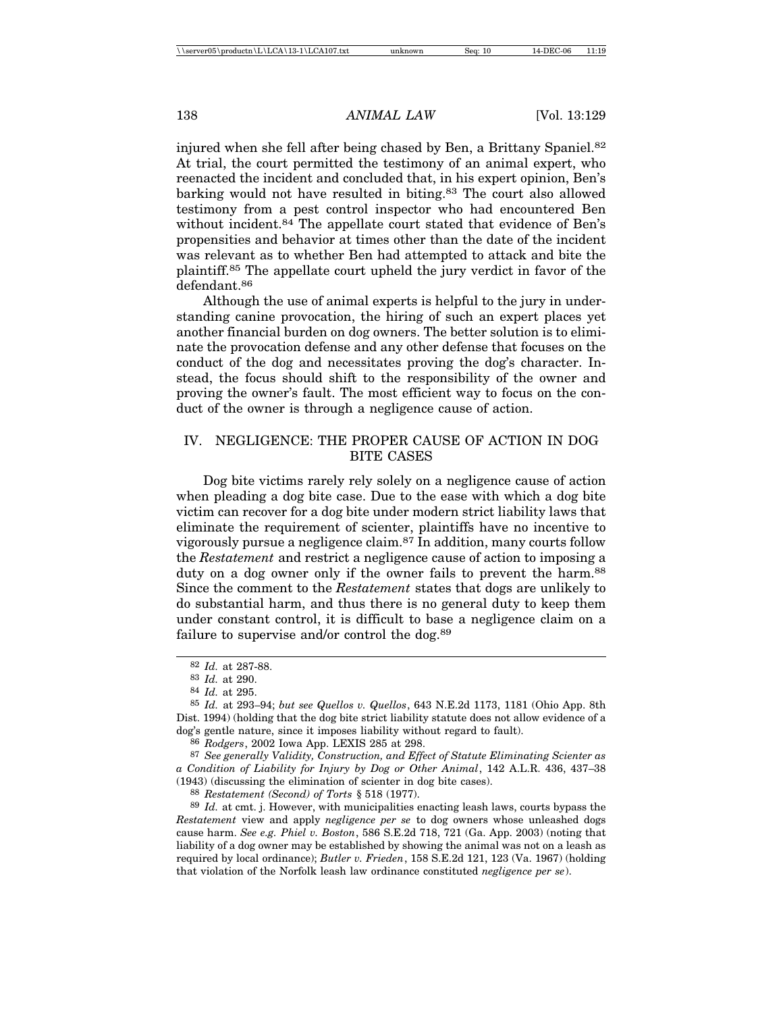injured when she fell after being chased by Ben, a Brittany Spaniel.<sup>82</sup> At trial, the court permitted the testimony of an animal expert, who reenacted the incident and concluded that, in his expert opinion, Ben's barking would not have resulted in biting.83 The court also allowed testimony from a pest control inspector who had encountered Ben without incident.<sup>84</sup> The appellate court stated that evidence of Ben's propensities and behavior at times other than the date of the incident was relevant as to whether Ben had attempted to attack and bite the plaintiff.85 The appellate court upheld the jury verdict in favor of the defendant.86

Although the use of animal experts is helpful to the jury in understanding canine provocation, the hiring of such an expert places yet another financial burden on dog owners. The better solution is to eliminate the provocation defense and any other defense that focuses on the conduct of the dog and necessitates proving the dog's character. Instead, the focus should shift to the responsibility of the owner and proving the owner's fault. The most efficient way to focus on the conduct of the owner is through a negligence cause of action.

#### IV. NEGLIGENCE: THE PROPER CAUSE OF ACTION IN DOG BITE CASES

Dog bite victims rarely rely solely on a negligence cause of action when pleading a dog bite case. Due to the ease with which a dog bite victim can recover for a dog bite under modern strict liability laws that eliminate the requirement of scienter, plaintiffs have no incentive to vigorously pursue a negligence claim.87 In addition, many courts follow the *Restatement* and restrict a negligence cause of action to imposing a duty on a dog owner only if the owner fails to prevent the harm.<sup>88</sup> Since the comment to the *Restatement* states that dogs are unlikely to do substantial harm, and thus there is no general duty to keep them under constant control, it is difficult to base a negligence claim on a failure to supervise and/or control the dog.<sup>89</sup>

86 *Rodgers*, 2002 Iowa App. LEXIS 285 at 298.

87 *See generally Validity, Construction, and Effect of Statute Eliminating Scienter as a Condition of Liability for Injury by Dog or Other Animal*, 142 A.L.R. 436, 437–38 (1943) (discussing the elimination of scienter in dog bite cases).

88 *Restatement (Second) of Torts* § 518 (1977).

89 *Id.* at cmt. j. However, with municipalities enacting leash laws, courts bypass the *Restatement* view and apply *negligence per se* to dog owners whose unleashed dogs cause harm. *See e.g. Phiel v. Boston*, 586 S.E.2d 718, 721 (Ga. App. 2003) (noting that liability of a dog owner may be established by showing the animal was not on a leash as required by local ordinance); *Butler v. Frieden*, 158 S.E.2d 121, 123 (Va. 1967) (holding that violation of the Norfolk leash law ordinance constituted *negligence per se*).

<sup>82</sup> *Id.* at 287-88.

<sup>83</sup> *Id.* at 290.

<sup>84</sup> *Id.* at 295.

<sup>85</sup> *Id.* at 293–94; *but see Quellos v. Quellos*, 643 N.E.2d 1173, 1181 (Ohio App. 8th Dist. 1994) (holding that the dog bite strict liability statute does not allow evidence of a dog's gentle nature, since it imposes liability without regard to fault).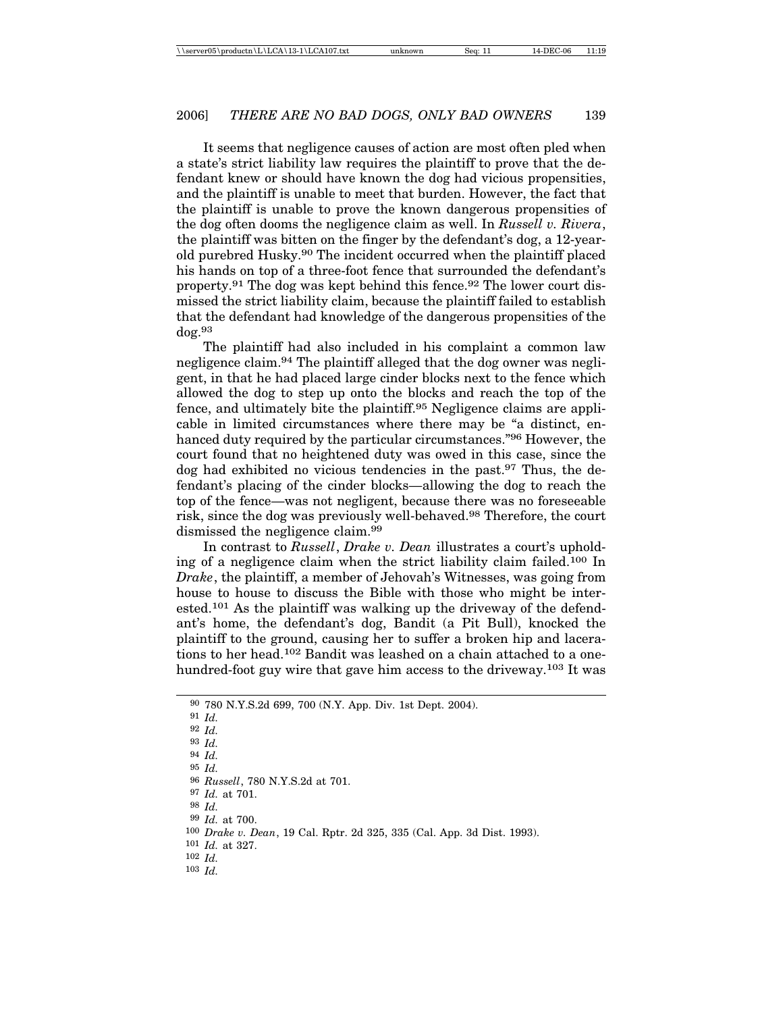It seems that negligence causes of action are most often pled when a state's strict liability law requires the plaintiff to prove that the defendant knew or should have known the dog had vicious propensities, and the plaintiff is unable to meet that burden. However, the fact that the plaintiff is unable to prove the known dangerous propensities of the dog often dooms the negligence claim as well. In *Russell v. Rivera*, the plaintiff was bitten on the finger by the defendant's dog, a 12-yearold purebred Husky.90 The incident occurred when the plaintiff placed his hands on top of a three-foot fence that surrounded the defendant's property.91 The dog was kept behind this fence.92 The lower court dismissed the strict liability claim, because the plaintiff failed to establish that the defendant had knowledge of the dangerous propensities of the dog.<sup>93</sup>

The plaintiff had also included in his complaint a common law negligence claim.94 The plaintiff alleged that the dog owner was negligent, in that he had placed large cinder blocks next to the fence which allowed the dog to step up onto the blocks and reach the top of the fence, and ultimately bite the plaintiff.95 Negligence claims are applicable in limited circumstances where there may be "a distinct, enhanced duty required by the particular circumstances."96 However, the court found that no heightened duty was owed in this case, since the dog had exhibited no vicious tendencies in the past.97 Thus, the defendant's placing of the cinder blocks—allowing the dog to reach the top of the fence—was not negligent, because there was no foreseeable risk, since the dog was previously well-behaved.98 Therefore, the court dismissed the negligence claim.99

In contrast to *Russell*, *Drake v. Dean* illustrates a court's upholding of a negligence claim when the strict liability claim failed.100 In *Drake*, the plaintiff, a member of Jehovah's Witnesses, was going from house to house to discuss the Bible with those who might be interested.101 As the plaintiff was walking up the driveway of the defendant's home, the defendant's dog, Bandit (a Pit Bull), knocked the plaintiff to the ground, causing her to suffer a broken hip and lacerations to her head.102 Bandit was leashed on a chain attached to a onehundred-foot guy wire that gave him access to the driveway.<sup>103</sup> It was

<sup>90</sup> 780 N.Y.S.2d 699, 700 (N.Y. App. Div. 1st Dept. 2004).

<sup>91</sup> *Id.*

<sup>92</sup> *Id.*

<sup>93</sup> *Id.*

<sup>94</sup> *Id.*

<sup>95</sup> *Id.*

<sup>96</sup> *Russell*, 780 N.Y.S.2d at 701.

<sup>97</sup> *Id.* at 701.

<sup>98</sup> *Id.*

<sup>99</sup> *Id.* at 700.

<sup>100</sup> *Drake v. Dean*, 19 Cal. Rptr. 2d 325, 335 (Cal. App. 3d Dist. 1993).

<sup>101</sup> *Id.* at 327.

<sup>102</sup> *Id.*

<sup>103</sup> *Id.*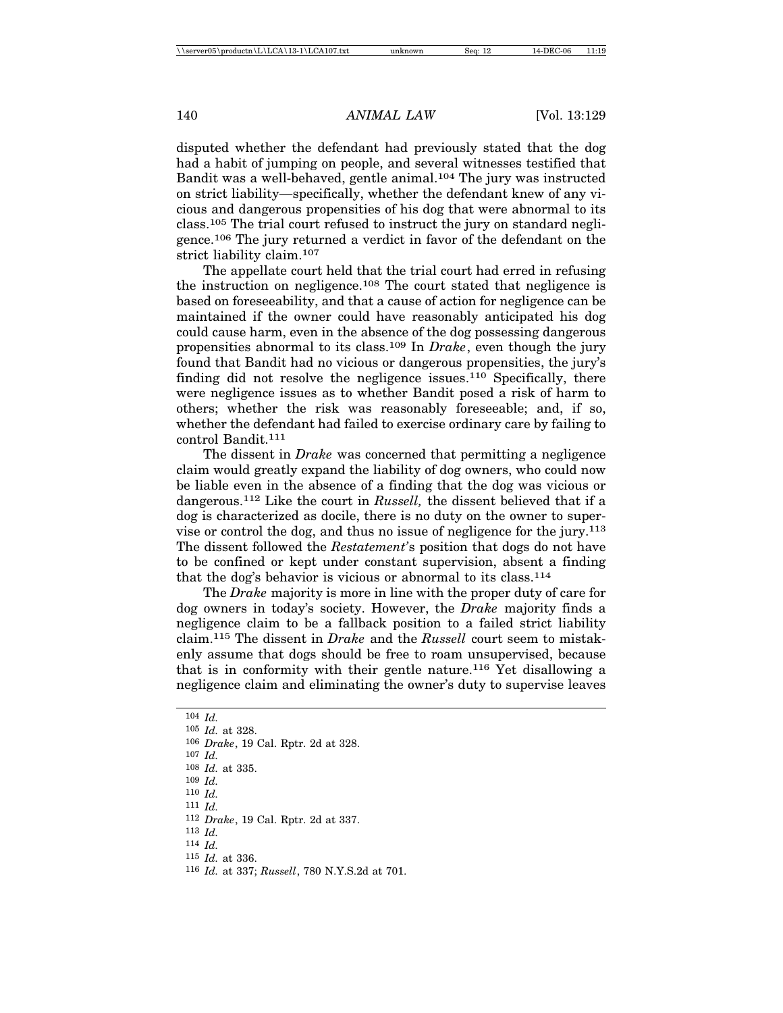disputed whether the defendant had previously stated that the dog had a habit of jumping on people, and several witnesses testified that Bandit was a well-behaved, gentle animal.104 The jury was instructed on strict liability—specifically, whether the defendant knew of any vicious and dangerous propensities of his dog that were abnormal to its class.105 The trial court refused to instruct the jury on standard negligence.106 The jury returned a verdict in favor of the defendant on the strict liability claim.107

The appellate court held that the trial court had erred in refusing the instruction on negligence.108 The court stated that negligence is based on foreseeability, and that a cause of action for negligence can be maintained if the owner could have reasonably anticipated his dog could cause harm, even in the absence of the dog possessing dangerous propensities abnormal to its class.109 In *Drake*, even though the jury found that Bandit had no vicious or dangerous propensities, the jury's finding did not resolve the negligence issues.110 Specifically, there were negligence issues as to whether Bandit posed a risk of harm to others; whether the risk was reasonably foreseeable; and, if so, whether the defendant had failed to exercise ordinary care by failing to control Bandit.111

The dissent in *Drake* was concerned that permitting a negligence claim would greatly expand the liability of dog owners, who could now be liable even in the absence of a finding that the dog was vicious or dangerous.112 Like the court in *Russell,* the dissent believed that if a dog is characterized as docile, there is no duty on the owner to supervise or control the dog, and thus no issue of negligence for the jury.113 The dissent followed the *Restatement'*s position that dogs do not have to be confined or kept under constant supervision, absent a finding that the dog's behavior is vicious or abnormal to its class.114

The *Drake* majority is more in line with the proper duty of care for dog owners in today's society. However, the *Drake* majority finds a negligence claim to be a fallback position to a failed strict liability claim.115 The dissent in *Drake* and the *Russell* court seem to mistakenly assume that dogs should be free to roam unsupervised, because that is in conformity with their gentle nature.<sup>116</sup> Yet disallowing a negligence claim and eliminating the owner's duty to supervise leaves

104 *Id.*

105 *Id.* at 328.

- 106 *Drake*, 19 Cal. Rptr. 2d at 328.
- 107 *Id.*

108 *Id.* at 335.

109 *Id.*

110 *Id.*

111 *Id.*

112 *Drake*, 19 Cal. Rptr. 2d at 337.

113 *Id.*

114 *Id.*

115 *Id.* at 336.

<sup>116</sup> *Id.* at 337; *Russell*, 780 N.Y.S.2d at 701.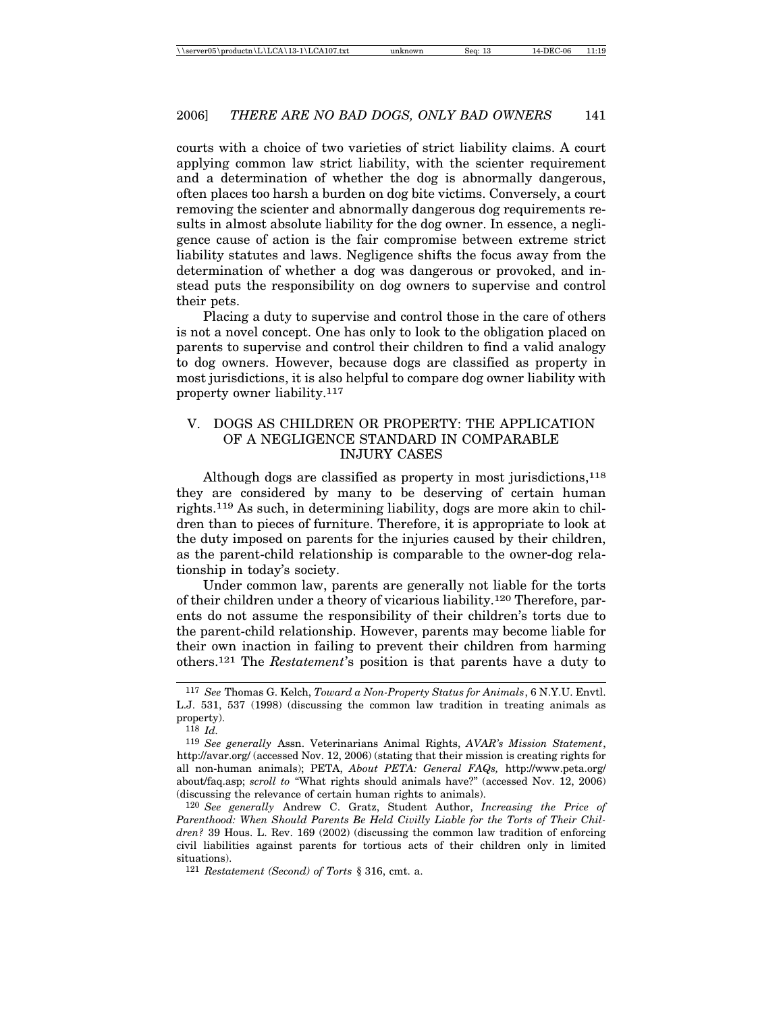courts with a choice of two varieties of strict liability claims. A court applying common law strict liability, with the scienter requirement and a determination of whether the dog is abnormally dangerous, often places too harsh a burden on dog bite victims. Conversely, a court removing the scienter and abnormally dangerous dog requirements results in almost absolute liability for the dog owner. In essence, a negligence cause of action is the fair compromise between extreme strict liability statutes and laws. Negligence shifts the focus away from the determination of whether a dog was dangerous or provoked, and instead puts the responsibility on dog owners to supervise and control their pets.

Placing a duty to supervise and control those in the care of others is not a novel concept. One has only to look to the obligation placed on parents to supervise and control their children to find a valid analogy to dog owners. However, because dogs are classified as property in most jurisdictions, it is also helpful to compare dog owner liability with property owner liability.117

# V. DOGS AS CHILDREN OR PROPERTY: THE APPLICATION OF A NEGLIGENCE STANDARD IN COMPARABLE INJURY CASES

Although dogs are classified as property in most jurisdictions,  $118$ they are considered by many to be deserving of certain human rights.119 As such, in determining liability, dogs are more akin to children than to pieces of furniture. Therefore, it is appropriate to look at the duty imposed on parents for the injuries caused by their children, as the parent-child relationship is comparable to the owner-dog relationship in today's society.

Under common law, parents are generally not liable for the torts of their children under a theory of vicarious liability.120 Therefore, parents do not assume the responsibility of their children's torts due to the parent-child relationship. However, parents may become liable for their own inaction in failing to prevent their children from harming others.121 The *Restatement*'s position is that parents have a duty to

120 *See generally* Andrew C. Gratz, Student Author, *Increasing the Price of Parenthood: When Should Parents Be Held Civilly Liable for the Torts of Their Children?* 39 Hous. L. Rev. 169 (2002) (discussing the common law tradition of enforcing civil liabilities against parents for tortious acts of their children only in limited situations).

<sup>117</sup> *See* Thomas G. Kelch, *Toward a Non-Property Status for Animals*, 6 N.Y.U. Envtl. L.J. 531, 537 (1998) (discussing the common law tradition in treating animals as property).

<sup>118</sup> *Id.*

<sup>119</sup> *See generally* Assn. Veterinarians Animal Rights, *AVAR's Mission Statement*, http://avar.org/ (accessed Nov. 12, 2006) (stating that their mission is creating rights for all non-human animals); PETA, *About PETA: General FAQs,* http://www.peta.org/ about/faq.asp; *scroll to* "What rights should animals have?" (accessed Nov. 12, 2006) (discussing the relevance of certain human rights to animals).

<sup>121</sup> *Restatement (Second) of Torts* § 316, cmt. a.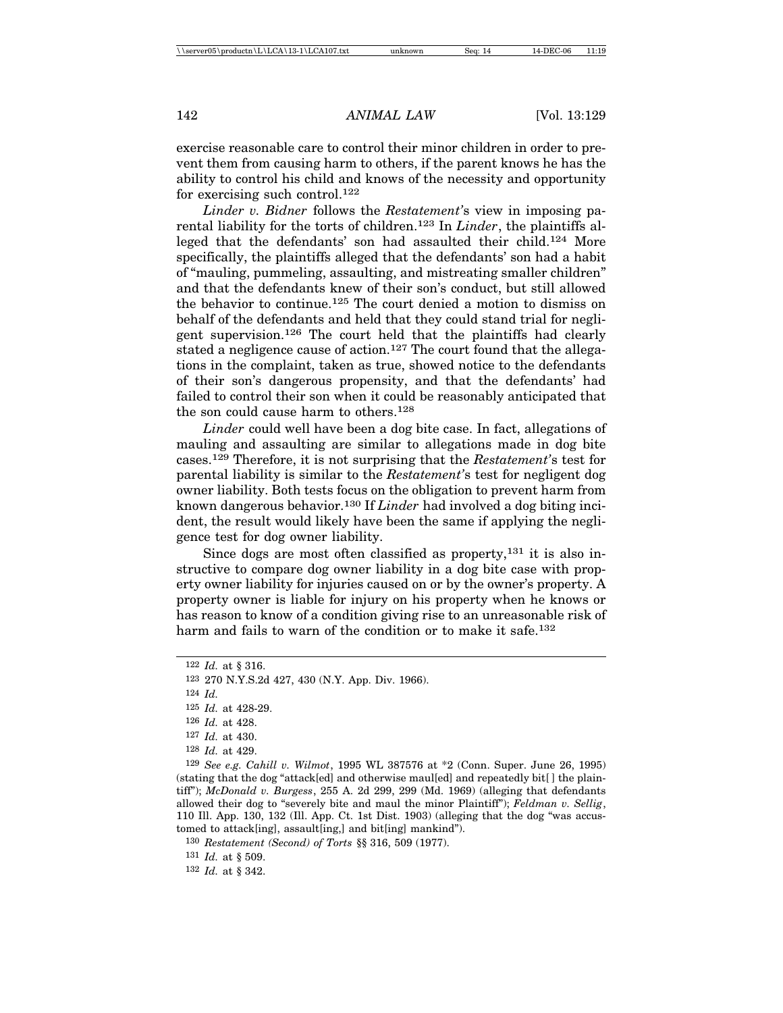exercise reasonable care to control their minor children in order to prevent them from causing harm to others, if the parent knows he has the ability to control his child and knows of the necessity and opportunity for exercising such control.122

*Linder v. Bidner* follows the *Restatement'*s view in imposing parental liability for the torts of children.123 In *Linder*, the plaintiffs alleged that the defendants' son had assaulted their child.124 More specifically, the plaintiffs alleged that the defendants' son had a habit of "mauling, pummeling, assaulting, and mistreating smaller children" and that the defendants knew of their son's conduct, but still allowed the behavior to continue.125 The court denied a motion to dismiss on behalf of the defendants and held that they could stand trial for negligent supervision.126 The court held that the plaintiffs had clearly stated a negligence cause of action.<sup>127</sup> The court found that the allegations in the complaint, taken as true, showed notice to the defendants of their son's dangerous propensity, and that the defendants' had failed to control their son when it could be reasonably anticipated that the son could cause harm to others.128

*Linder* could well have been a dog bite case. In fact, allegations of mauling and assaulting are similar to allegations made in dog bite cases.129 Therefore, it is not surprising that the *Restatement'*s test for parental liability is similar to the *Restatement'*s test for negligent dog owner liability. Both tests focus on the obligation to prevent harm from known dangerous behavior.130 If *Linder* had involved a dog biting incident, the result would likely have been the same if applying the negligence test for dog owner liability.

Since dogs are most often classified as property, $131$  it is also instructive to compare dog owner liability in a dog bite case with property owner liability for injuries caused on or by the owner's property. A property owner is liable for injury on his property when he knows or has reason to know of a condition giving rise to an unreasonable risk of harm and fails to warn of the condition or to make it safe.<sup>132</sup>

124 *Id.*

130 *Restatement (Second) of Torts* §§ 316, 509 (1977).

131 *Id.* at § 509.

132 *Id.* at § 342.

<sup>122</sup> *Id.* at § 316.

<sup>123</sup> 270 N.Y.S.2d 427, 430 (N.Y. App. Div. 1966).

<sup>125</sup> *Id.* at 428-29.

<sup>126</sup> *Id.* at 428.

<sup>127</sup> *Id.* at 430.

<sup>128</sup> *Id.* at 429.

<sup>129</sup> *See e.g. Cahill v. Wilmot*, 1995 WL 387576 at \*2 (Conn. Super. June 26, 1995) (stating that the dog "attack[ed] and otherwise maul[ed] and repeatedly bit[ ] the plaintiff"); *McDonald v. Burgess*, 255 A. 2d 299, 299 (Md. 1969) (alleging that defendants allowed their dog to "severely bite and maul the minor Plaintiff"); *Feldman v. Sellig*, 110 Ill. App. 130, 132 (Ill. App. Ct. 1st Dist. 1903) (alleging that the dog "was accustomed to attack[ing], assault[ing,] and bit[ing] mankind").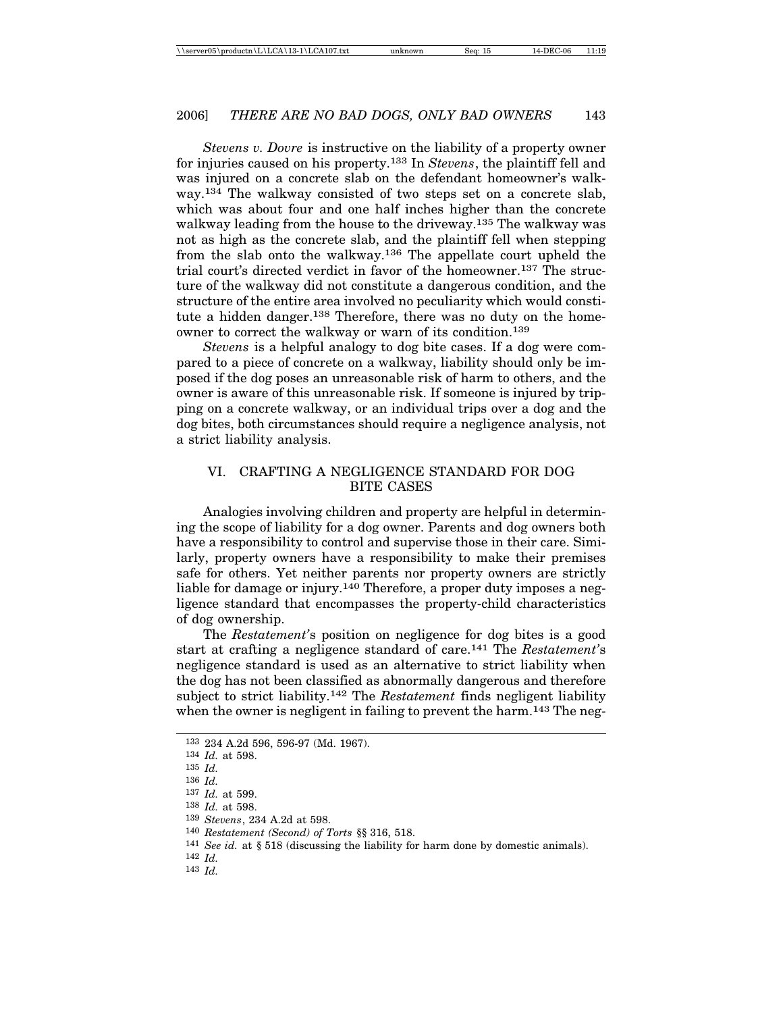*Stevens v. Dovre* is instructive on the liability of a property owner for injuries caused on his property.133 In *Stevens*, the plaintiff fell and was injured on a concrete slab on the defendant homeowner's walkway.134 The walkway consisted of two steps set on a concrete slab, which was about four and one half inches higher than the concrete walkway leading from the house to the driveway.135 The walkway was not as high as the concrete slab, and the plaintiff fell when stepping from the slab onto the walkway.136 The appellate court upheld the trial court's directed verdict in favor of the homeowner.137 The structure of the walkway did not constitute a dangerous condition, and the structure of the entire area involved no peculiarity which would constitute a hidden danger.<sup>138</sup> Therefore, there was no duty on the homeowner to correct the walkway or warn of its condition.139

*Stevens* is a helpful analogy to dog bite cases. If a dog were compared to a piece of concrete on a walkway, liability should only be imposed if the dog poses an unreasonable risk of harm to others, and the owner is aware of this unreasonable risk. If someone is injured by tripping on a concrete walkway, or an individual trips over a dog and the dog bites, both circumstances should require a negligence analysis, not a strict liability analysis.

# VI. CRAFTING A NEGLIGENCE STANDARD FOR DOG BITE CASES

Analogies involving children and property are helpful in determining the scope of liability for a dog owner. Parents and dog owners both have a responsibility to control and supervise those in their care. Similarly, property owners have a responsibility to make their premises safe for others. Yet neither parents nor property owners are strictly liable for damage or injury.140 Therefore, a proper duty imposes a negligence standard that encompasses the property-child characteristics of dog ownership.

The *Restatement'*s position on negligence for dog bites is a good start at crafting a negligence standard of care.141 The *Restatement'*s negligence standard is used as an alternative to strict liability when the dog has not been classified as abnormally dangerous and therefore subject to strict liability.142 The *Restatement* finds negligent liability when the owner is negligent in failing to prevent the harm.<sup>143</sup> The neg-

<sup>133</sup> 234 A.2d 596, 596-97 (Md. 1967).

<sup>134</sup> *Id.* at 598.

<sup>135</sup> *Id.*

<sup>136</sup> *Id.*

<sup>137</sup> *Id.* at 599.

<sup>138</sup> *Id.* at 598.

<sup>139</sup> *Stevens*, 234 A.2d at 598.

<sup>140</sup> *Restatement (Second) of Torts* §§ 316, 518.

<sup>141</sup> *See id.* at § 518 (discussing the liability for harm done by domestic animals).

<sup>142</sup> *Id.*

<sup>143</sup> *Id.*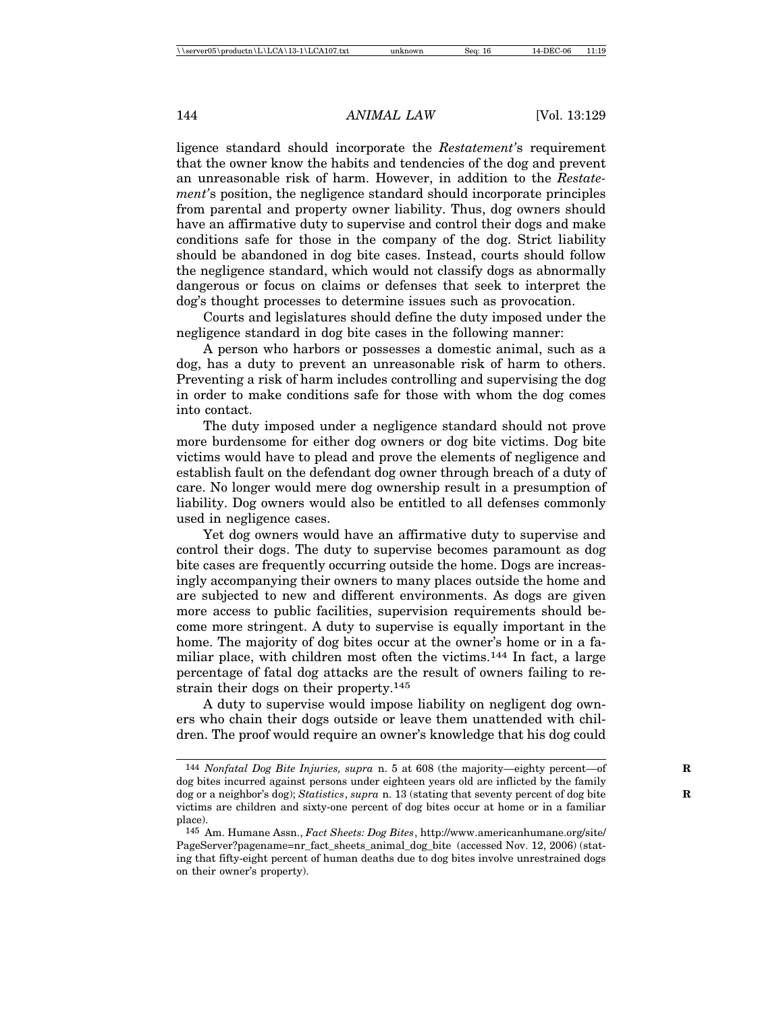ligence standard should incorporate the *Restatement'*s requirement that the owner know the habits and tendencies of the dog and prevent an unreasonable risk of harm. However, in addition to the *Restatement'*s position, the negligence standard should incorporate principles from parental and property owner liability. Thus, dog owners should have an affirmative duty to supervise and control their dogs and make conditions safe for those in the company of the dog. Strict liability should be abandoned in dog bite cases. Instead, courts should follow the negligence standard, which would not classify dogs as abnormally dangerous or focus on claims or defenses that seek to interpret the dog's thought processes to determine issues such as provocation.

Courts and legislatures should define the duty imposed under the negligence standard in dog bite cases in the following manner:

A person who harbors or possesses a domestic animal, such as a dog, has a duty to prevent an unreasonable risk of harm to others. Preventing a risk of harm includes controlling and supervising the dog in order to make conditions safe for those with whom the dog comes into contact.

The duty imposed under a negligence standard should not prove more burdensome for either dog owners or dog bite victims. Dog bite victims would have to plead and prove the elements of negligence and establish fault on the defendant dog owner through breach of a duty of care. No longer would mere dog ownership result in a presumption of liability. Dog owners would also be entitled to all defenses commonly used in negligence cases.

Yet dog owners would have an affirmative duty to supervise and control their dogs. The duty to supervise becomes paramount as dog bite cases are frequently occurring outside the home. Dogs are increasingly accompanying their owners to many places outside the home and are subjected to new and different environments. As dogs are given more access to public facilities, supervision requirements should become more stringent. A duty to supervise is equally important in the home. The majority of dog bites occur at the owner's home or in a familiar place, with children most often the victims.<sup>144</sup> In fact, a large percentage of fatal dog attacks are the result of owners failing to restrain their dogs on their property.145

A duty to supervise would impose liability on negligent dog owners who chain their dogs outside or leave them unattended with children. The proof would require an owner's knowledge that his dog could

<sup>144</sup> *Nonfatal Dog Bite Injuries, supra* n. 5 at 608 (the majority—eighty percent—of **R** dog bites incurred against persons under eighteen years old are inflicted by the family dog or a neighbor's dog); *Statistics*, *supra* n. 13 (stating that seventy percent of dog bite **R** victims are children and sixty-one percent of dog bites occur at home or in a familiar place).

<sup>145</sup> Am. Humane Assn., *Fact Sheets: Dog Bites*, http://www.americanhumane.org/site/ PageServer?pagename=nr\_fact\_sheets\_animal\_dog\_bite (accessed Nov. 12, 2006) (stating that fifty-eight percent of human deaths due to dog bites involve unrestrained dogs on their owner's property).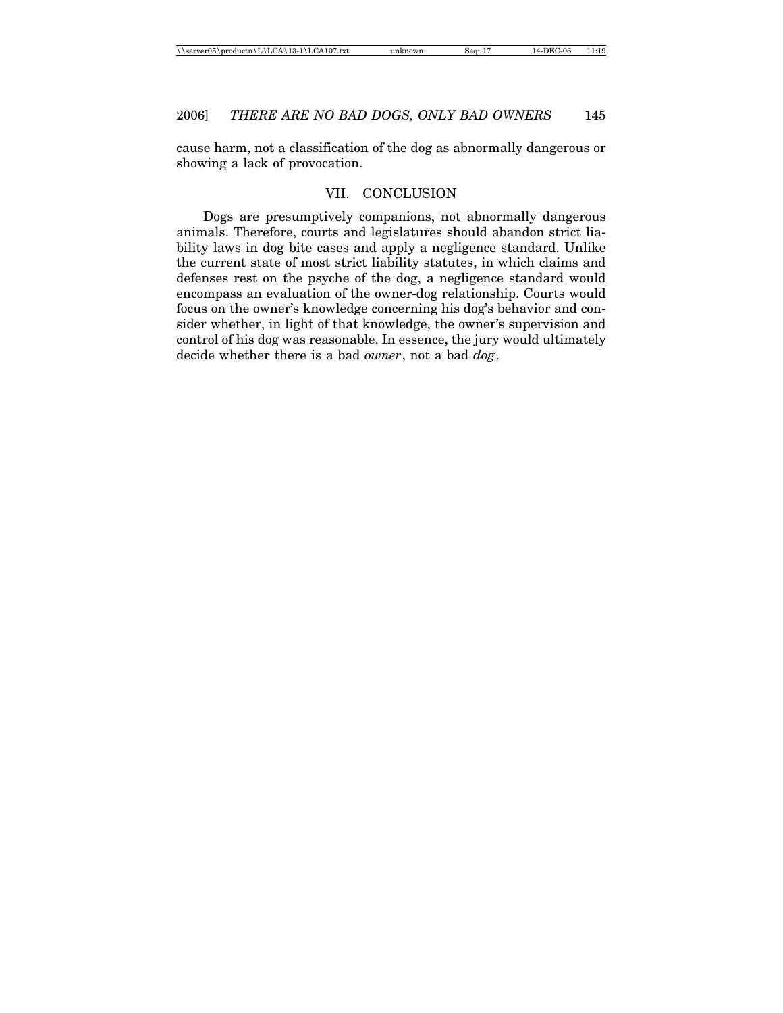cause harm, not a classification of the dog as abnormally dangerous or showing a lack of provocation.

#### VII. CONCLUSION

Dogs are presumptively companions, not abnormally dangerous animals. Therefore, courts and legislatures should abandon strict liability laws in dog bite cases and apply a negligence standard. Unlike the current state of most strict liability statutes, in which claims and defenses rest on the psyche of the dog, a negligence standard would encompass an evaluation of the owner-dog relationship. Courts would focus on the owner's knowledge concerning his dog's behavior and consider whether, in light of that knowledge, the owner's supervision and control of his dog was reasonable. In essence, the jury would ultimately decide whether there is a bad *owner*, not a bad *dog*.